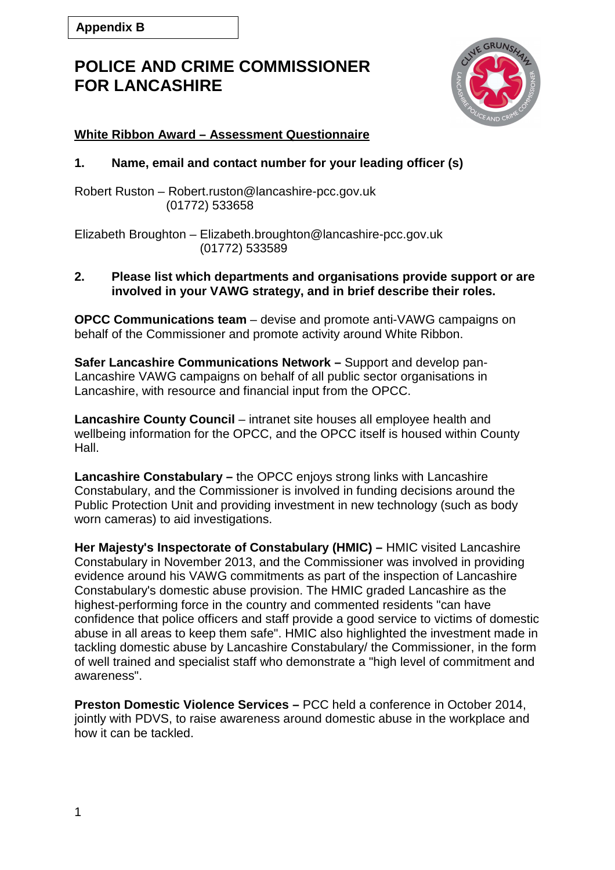

## **White Ribbon Award – Assessment Questionnaire**

## **1. Name, email and contact number for your leading officer (s)**

Robert Ruston – Robert.ruston@lancashire-pcc.gov.uk (01772) 533658

Elizabeth Broughton – Elizabeth.broughton@lancashire-pcc.gov.uk (01772) 533589

#### **2. Please list which departments and organisations provide support or are involved in your VAWG strategy, and in brief describe their roles.**

**OPCC Communications team** – devise and promote anti-VAWG campaigns on behalf of the Commissioner and promote activity around White Ribbon.

**Safer Lancashire Communications Network –** Support and develop pan-Lancashire VAWG campaigns on behalf of all public sector organisations in Lancashire, with resource and financial input from the OPCC.

**Lancashire County Council** – intranet site houses all employee health and wellbeing information for the OPCC, and the OPCC itself is housed within County Hall.

**Lancashire Constabulary –** the OPCC enjoys strong links with Lancashire Constabulary, and the Commissioner is involved in funding decisions around the Public Protection Unit and providing investment in new technology (such as body worn cameras) to aid investigations.

**Her Majesty's Inspectorate of Constabulary (HMIC) –** HMIC visited Lancashire Constabulary in November 2013, and the Commissioner was involved in providing evidence around his VAWG commitments as part of the inspection of Lancashire Constabulary's domestic abuse provision. The HMIC graded Lancashire as the highest-performing force in the country and commented residents "can have confidence that police officers and staff provide a good service to victims of domestic abuse in all areas to keep them safe". HMIC also highlighted the investment made in tackling domestic abuse by Lancashire Constabulary/ the Commissioner, in the form of well trained and specialist staff who demonstrate a "high level of commitment and awareness".

**Preston Domestic Violence Services –** PCC held a conference in October 2014, jointly with PDVS, to raise awareness around domestic abuse in the workplace and how it can be tackled.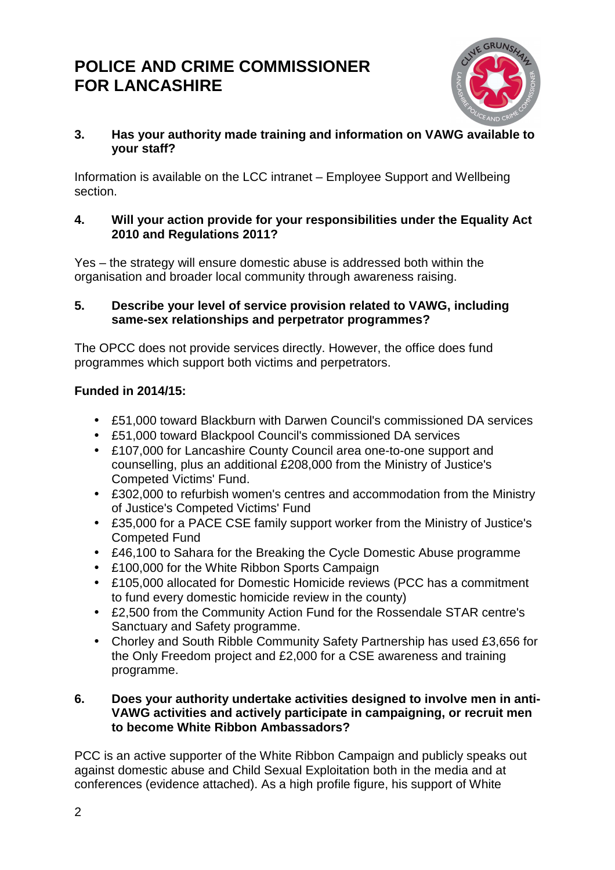

## **3. Has your authority made training and information on VAWG available to your staff?**

Information is available on the LCC intranet – Employee Support and Wellbeing section.

## **4. Will your action provide for your responsibilities under the Equality Act 2010 and Regulations 2011?**

Yes – the strategy will ensure domestic abuse is addressed both within the organisation and broader local community through awareness raising.

## **5. Describe your level of service provision related to VAWG, including same-sex relationships and perpetrator programmes?**

The OPCC does not provide services directly. However, the office does fund programmes which support both victims and perpetrators.

## **Funded in 2014/15:**

- £51,000 toward Blackburn with Darwen Council's commissioned DA services
- £51,000 toward Blackpool Council's commissioned DA services
- £107,000 for Lancashire County Council area one-to-one support and counselling, plus an additional £208,000 from the Ministry of Justice's Competed Victims' Fund.
- £302,000 to refurbish women's centres and accommodation from the Ministry of Justice's Competed Victims' Fund
- £35,000 for a PACE CSE family support worker from the Ministry of Justice's Competed Fund
- £46,100 to Sahara for the Breaking the Cycle Domestic Abuse programme
- £100,000 for the White Ribbon Sports Campaign
- £105,000 allocated for Domestic Homicide reviews (PCC has a commitment to fund every domestic homicide review in the county)
- £2,500 from the Community Action Fund for the Rossendale STAR centre's Sanctuary and Safety programme.
- Chorley and South Ribble Community Safety Partnership has used £3,656 for the Only Freedom project and £2,000 for a CSE awareness and training programme.

## **6. Does your authority undertake activities designed to involve men in anti-VAWG activities and actively participate in campaigning, or recruit men to become White Ribbon Ambassadors?**

PCC is an active supporter of the White Ribbon Campaign and publicly speaks out against domestic abuse and Child Sexual Exploitation both in the media and at conferences (evidence attached). As a high profile figure, his support of White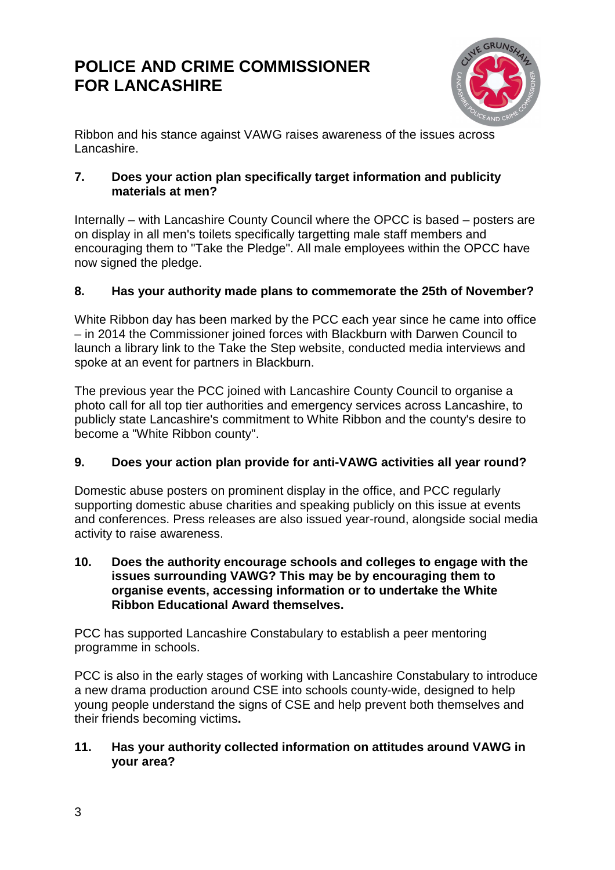

Ribbon and his stance against VAWG raises awareness of the issues across Lancashire.

## **7. Does your action plan specifically target information and publicity materials at men?**

Internally – with Lancashire County Council where the OPCC is based – posters are on display in all men's toilets specifically targetting male staff members and encouraging them to "Take the Pledge". All male employees within the OPCC have now signed the pledge.

## **8. Has your authority made plans to commemorate the 25th of November?**

White Ribbon day has been marked by the PCC each year since he came into office – in 2014 the Commissioner joined forces with Blackburn with Darwen Council to launch a library link to the Take the Step website, conducted media interviews and spoke at an event for partners in Blackburn.

The previous year the PCC joined with Lancashire County Council to organise a photo call for all top tier authorities and emergency services across Lancashire, to publicly state Lancashire's commitment to White Ribbon and the county's desire to become a "White Ribbon county".

## **9. Does your action plan provide for anti-VAWG activities all year round?**

Domestic abuse posters on prominent display in the office, and PCC regularly supporting domestic abuse charities and speaking publicly on this issue at events and conferences. Press releases are also issued year-round, alongside social media activity to raise awareness.

#### **10. Does the authority encourage schools and colleges to engage with the issues surrounding VAWG? This may be by encouraging them to organise events, accessing information or to undertake the White Ribbon Educational Award themselves.**

PCC has supported Lancashire Constabulary to establish a peer mentoring programme in schools.

PCC is also in the early stages of working with Lancashire Constabulary to introduce a new drama production around CSE into schools county-wide, designed to help young people understand the signs of CSE and help prevent both themselves and their friends becoming victims**.** 

## **11. Has your authority collected information on attitudes around VAWG in your area?**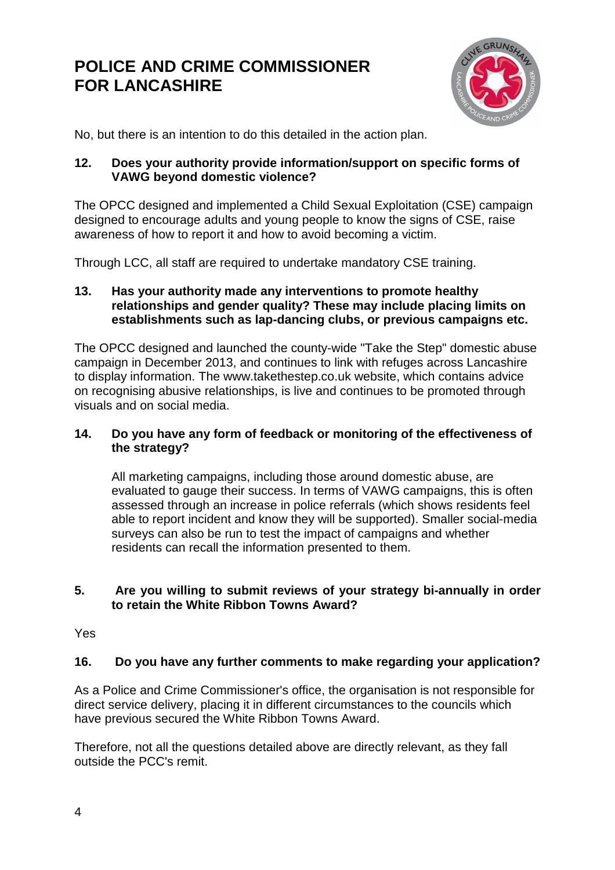

No, but there is an intention to do this detailed in the action plan.

## **12. Does your authority provide information/support on specific forms of VAWG beyond domestic violence?**

The OPCC designed and implemented a Child Sexual Exploitation (CSE) campaign designed to encourage adults and young people to know the signs of CSE, raise awareness of how to report it and how to avoid becoming a victim.

Through LCC, all staff are required to undertake mandatory CSE training.

## **13. Has your authority made any interventions to promote healthy relationships and gender quality? These may include placing limits on establishments such as lap-dancing clubs, or previous campaigns etc.**

The OPCC designed and launched the county-wide "Take the Step" domestic abuse campaign in December 2013, and continues to link with refuges across Lancashire to display information. The www.takethestep.co.uk website, which contains advice on recognising abusive relationships, is live and continues to be promoted through visuals and on social media.

## **14. Do you have any form of feedback or monitoring of the effectiveness of the strategy?**

All marketing campaigns, including those around domestic abuse, are evaluated to gauge their success. In terms of VAWG campaigns, this is often assessed through an increase in police referrals (which shows residents feel able to report incident and know they will be supported). Smaller social-media surveys can also be run to test the impact of campaigns and whether residents can recall the information presented to them.

## **5. Are you willing to submit reviews of your strategy bi-annually in order to retain the White Ribbon Towns Award?**

Yes

## **16. Do you have any further comments to make regarding your application?**

As a Police and Crime Commissioner's office, the organisation is not responsible for direct service delivery, placing it in different circumstances to the councils which have previous secured the White Ribbon Towns Award.

Therefore, not all the questions detailed above are directly relevant, as they fall outside the PCC's remit.